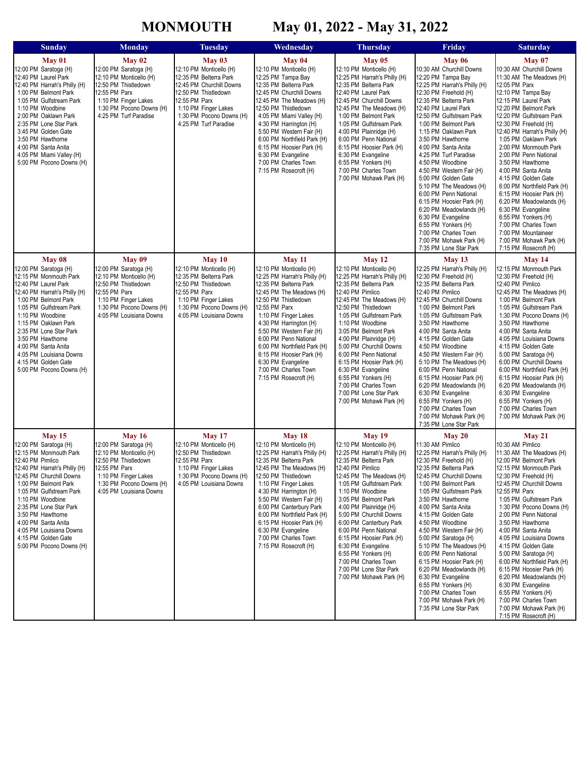## **MONMOUTH May 01, 2022 - May 31, 2022**

| <b>Sunday</b>                                                                                                                                                                                                                                                                                                                                                        | <b>Monday</b>                                                                                                                                                                             | <b>Tuesday</b>                                                                                                                                                                                                | Wednesday                                                                                                                                                                                                                                                                                                                                                                                                        | <b>Thursday</b>                                                                                                                                                                                                                                                                                                                                                                                                                                                                          | Friday                                                                                                                                                                                                                                                                                                                                                                                                                                                                                                                                                                                                                           | <b>Saturday</b>                                                                                                                                                                                                                                                                                                                                                                                                                                                                                                                                                                                                                |
|----------------------------------------------------------------------------------------------------------------------------------------------------------------------------------------------------------------------------------------------------------------------------------------------------------------------------------------------------------------------|-------------------------------------------------------------------------------------------------------------------------------------------------------------------------------------------|---------------------------------------------------------------------------------------------------------------------------------------------------------------------------------------------------------------|------------------------------------------------------------------------------------------------------------------------------------------------------------------------------------------------------------------------------------------------------------------------------------------------------------------------------------------------------------------------------------------------------------------|------------------------------------------------------------------------------------------------------------------------------------------------------------------------------------------------------------------------------------------------------------------------------------------------------------------------------------------------------------------------------------------------------------------------------------------------------------------------------------------|----------------------------------------------------------------------------------------------------------------------------------------------------------------------------------------------------------------------------------------------------------------------------------------------------------------------------------------------------------------------------------------------------------------------------------------------------------------------------------------------------------------------------------------------------------------------------------------------------------------------------------|--------------------------------------------------------------------------------------------------------------------------------------------------------------------------------------------------------------------------------------------------------------------------------------------------------------------------------------------------------------------------------------------------------------------------------------------------------------------------------------------------------------------------------------------------------------------------------------------------------------------------------|
| May 01<br>12:00 PM Saratoga (H)<br>12:40 PM Laurel Park<br>12:40 PM Harrah's Philly (H)<br>1:00 PM Belmont Park<br>1:05 PM Gulfstream Park<br>1:10 PM Woodbine<br>2:00 PM Oaklawn Park<br>2:35 PM Lone Star Park<br>3:45 PM Golden Gate<br>3:50 PM Hawthorne<br>4:00 PM Santa Anita<br>4:05 PM Miami Valley (H)<br>5:00 PM Pocono Downs (H)                          | May 02<br>12:00 PM Saratoga (H)<br>12:10 PM Monticello (H)<br>12:50 PM Thistledown<br>12:55 PM Parx<br>1:10 PM Finger Lakes<br>1:30 PM Pocono Downs (H)<br>4:25 PM Turf Paradise          | May 03<br>12:10 PM Monticello (H)<br>12:35 PM Belterra Park<br>12:45 PM Churchill Downs<br>12:50 PM Thistledown<br>12:55 PM Parx<br>1:10 PM Finger Lakes<br>1:30 PM Pocono Downs (H)<br>4:25 PM Turf Paradise | May 04<br>12:10 PM Monticello (H)<br>12:25 PM Tampa Bay<br>12:35 PM Belterra Park<br>12:45 PM Churchill Downs<br>12:45 PM The Meadows (H)<br>12:50 PM Thistledown<br>4:05 PM Miami Valley (H)<br>4:30 PM Harrington (H)<br>5:50 PM Western Fair (H)<br>6:00 PM Northfield Park (H)<br>6:15 PM Hoosier Park (H)<br>6:30 PM Evangeline<br>7:00 PM Charles Town<br>7:15 PM Rosecroft (H)                            | May 05<br>12:10 PM Monticello (H)<br>12:25 PM Harrah's Philly (H)<br>12:35 PM Belterra Park<br>12:40 PM Laurel Park<br>12:45 PM Churchill Downs<br>12:45 PM The Meadows (H)<br>1:00 PM Belmont Park<br>1:05 PM Gulfstream Park<br>4:00 PM Plainridge (H)<br>6:00 PM Penn National<br>6:15 PM Hoosier Park (H)<br>6:30 PM Evangeline<br>6:55 PM Yonkers (H)<br>7:00 PM Charles Town<br>7:00 PM Mohawk Park (H)                                                                            | May 06<br>10:30 AM Churchill Downs<br>12:20 PM Tampa Bay<br>12:25 PM Harrah's Philly (H)<br>12:30 PM Freehold (H)<br>12:35 PM Belterra Park<br>12:40 PM Laurel Park<br>12:50 PM Gulfstream Park<br>1:00 PM Belmont Park<br>1:15 PM Oaklawn Park<br>3:50 PM Hawthorne<br>4:00 PM Santa Anita<br>4:25 PM Turf Paradise<br>4:50 PM Woodbine<br>4:50 PM Western Fair (H)<br>5:00 PM Golden Gate<br>5:10 PM The Meadows (H)<br>6:00 PM Penn National<br>6:15 PM Hoosier Park (H)<br>6:20 PM Meadowlands (H)<br>6:30 PM Evangeline<br>6:55 PM Yonkers (H)<br>7:00 PM Charles Town<br>7:00 PM Mohawk Park (H)<br>7:35 PM Lone Star Park | May 07<br>10:30 AM Churchill Downs<br>11:30 AM The Meadows (H)<br>12:05 PM Parx<br>12:10 PM Tampa Bay<br>12:15 PM Laurel Park<br>12:20 PM Belmont Park<br>12:20 PM Gulfstream Park<br>12:30 PM Freehold (H)<br>12:40 PM Harrah's Philly (H)<br>1:05 PM Oaklawn Park<br>2:00 PM Monmouth Park<br>2:00 PM Penn National<br>3:50 PM Hawthorne<br>4:00 PM Santa Anita<br>4:15 PM Golden Gate<br>6:00 PM Northfield Park (H)<br>6:15 PM Hoosier Park (H)<br>6:20 PM Meadowlands (H)<br>6:30 PM Evangeline<br>6:55 PM Yonkers (H)<br>7:00 PM Charles Town<br>7:00 PM Mountaineer<br>7:00 PM Mohawk Park (H)<br>7:15 PM Rosecroft (H) |
| May 08<br>12:00 PM Saratoga (H)<br>12:15 PM Monmouth Park<br>12:40 PM Laurel Park<br>12:40 PM Harrah's Philly (H)<br>1:00 PM Belmont Park<br>1:05 PM Gulfstream Park<br>1:10 PM Woodbine<br>1:15 PM Oaklawn Park<br>2:35 PM Lone Star Park<br>3:50 PM Hawthorne<br>4:00 PM Santa Anita<br>4:05 PM Louisiana Downs<br>4:15 PM Golden Gate<br>5:00 PM Pocono Downs (H) | May 09<br>12:00 PM Saratoga (H)<br>12:10 PM Monticello (H)<br>12:50 PM Thistledown<br>12:55 PM Parx<br>1:10 PM Finger Lakes<br>1:30 PM Pocono Downs (H)<br>4:05 PM Louisiana Downs        | $M$ ay 10<br>12:10 PM Monticello (H)<br>12:35 PM Belterra Park<br>12:50 PM Thistledown<br>12:55 PM Parx<br>1:10 PM Finger Lakes<br>1:30 PM Pocono Downs (H)<br>4:05 PM Louisiana Downs                        | <b>May 11</b><br>12:10 PM Monticello (H)<br>12:25 PM Harrah's Philly (H)<br>12:35 PM Belterra Park<br>12:45 PM The Meadows (H)<br>12:50 PM Thistledown<br>12:55 PM Parx<br>1:10 PM Finger Lakes<br>4:30 PM Harrington (H)<br>5:50 PM Western Fair (H)<br>6:00 PM Penn National<br>6:00 PM Northfield Park (H)<br>6:15 PM Hoosier Park (H)<br>6:30 PM Evangeline<br>7:00 PM Charles Town<br>7:15 PM Rosecroft (H) | May 12<br>12:10 PM Monticello (H)<br>12:25 PM Harrah's Philly (H)<br>12:35 PM Belterra Park<br>12:40 PM Pimlico<br>12:45 PM The Meadows (H)<br>12:50 PM Thistledown<br>1:05 PM Gulfstream Park<br>1:10 PM Woodbine<br>3:05 PM Belmont Park<br>4:00 PM Plainridge (H)<br>5:00 PM Churchill Downs<br>6:00 PM Penn National<br>6:15 PM Hoosier Park (H)<br>6:30 PM Evangeline<br>6:55 PM Yonkers (H)<br>7:00 PM Charles Town<br>7:00 PM Lone Star Park<br>7:00 PM Mohawk Park (H)           | May 13<br>12:25 PM Harrah's Philly (H)<br>12:30 PM Freehold (H)<br>12:35 PM Belterra Park<br>12:40 PM Pimlico<br>12:45 PM Churchill Downs<br>1:00 PM Belmont Park<br>1:05 PM Gulfstream Park<br>3:50 PM Hawthorne<br>4:00 PM Santa Anita<br>4:15 PM Golden Gate<br>4:50 PM Woodbine<br>4:50 PM Western Fair (H)<br>5:10 PM The Meadows (H)<br>6:00 PM Penn National<br>6:15 PM Hoosier Park (H)<br>6:20 PM Meadowlands (H)<br>6:30 PM Evangeline<br>6:55 PM Yonkers (H)<br>7:00 PM Charles Town<br>7:00 PM Mohawk Park (H)<br>7:35 PM Lone Star Park                                                                             | May 14<br>12:15 PM Monmouth Park<br>12:30 PM Freehold (H)<br>12:40 PM Pimlico<br>12:45 PM The Meadows (H)<br>1:00 PM Belmont Park<br>1:05 PM Gulfstream Park<br>1:30 PM Pocono Downs (H)<br>3:50 PM Hawthorne<br>4:00 PM Santa Anita<br>4:05 PM Louisiana Downs<br>4:15 PM Golden Gate<br>5:00 PM Saratoga (H)<br>6:00 PM Churchill Downs<br>6:00 PM Northfield Park (H)<br>6:15 PM Hoosier Park (H)<br>6:20 PM Meadowlands (H)<br>6:30 PM Evangeline<br>6:55 PM Yonkers (H)<br>7:00 PM Charles Town<br>7:00 PM Mohawk Park (H)                                                                                                |
| May 15<br>12:00 PM Saratoga (H)<br>12:15 PM Monmouth Park<br>12:40 PM Pimlico<br>12:40 PM Harrah's Philly (H)<br>12:45 PM Churchill Downs<br>1:00 PM Belmont Park<br>1:05 PM Gulfstream Park<br>1:10 PM Woodbine<br>2:35 PM Lone Star Park<br>3:50 PM Hawthorne<br>4:00 PM Santa Anita<br>4:05 PM Louisiana Downs<br>4:15 PM Golden Gate<br>5:00 PM Pocono Downs (H) | <b>May 16</b><br>12:00 PM Saratoga (H)<br>12:10 PM Monticello (H)<br>12:50 PM Thistledown<br>12:55 PM Parx<br>1:10 PM Finger Lakes<br>1:30 PM Pocono Downs (H)<br>4:05 PM Louisiana Downs | May 17<br>12:10 PM Monticello (H)<br>12:50 PM Thistledown<br>12:55 PM Parx<br>1:10 PM Finger Lakes<br>1:30 PM Pocono Downs (H)<br>4:05 PM Louisiana Downs                                                     | May 18<br>12:10 PM Monticello (H)<br>12:25 PM Harrah's Philly (H)<br>12:35 PM Belterra Park<br>12:45 PM The Meadows (H)<br>12:50 PM Thistledown<br>1:10 PM Finger Lakes<br>4:30 PM Harrington (H)<br>5:50 PM Western Fair (H)<br>6:00 PM Canterbury Park<br>6:00 PM Northfield Park (H)<br>6:15 PM Hoosier Park (H)<br>6:30 PM Evangeline<br>7:00 PM Charles Town<br>7:15 PM Rosecroft (H)                       | <b>May 19</b><br>12:10 PM Monticello (H)<br>12:25 PM Harrah's Philly (H)<br>12:35 PM Belterra Park<br>12:40 PM Pimlico<br>12:45 PM The Meadows (H)<br>1:05 PM Gulfstream Park<br>1:10 PM Woodbine<br>3:05 PM Belmont Park<br>4:00 PM Plainridge (H)<br>5:00 PM Churchill Downs<br>6:00 PM Canterbury Park<br>6:00 PM Penn National<br>6:15 PM Hoosier Park (H)<br>6:30 PM Evangeline<br>6:55 PM Yonkers (H)<br>7:00 PM Charles Town<br>7:00 PM Lone Star Park<br>7:00 PM Mohawk Park (H) | May 20<br>11:30 AM Pimlico<br>12:25 PM Harrah's Philly (H)<br>12:30 PM Freehold (H)<br>12:35 PM Belterra Park<br>12:45 PM Churchill Downs<br>1:00 PM Belmont Park<br>1:05 PM Gulfstream Park<br>3:50 PM Hawthorne<br>4:00 PM Santa Anita<br>4:15 PM Golden Gate<br>4:50 PM Woodbine<br>4:50 PM Western Fair (H)<br>5:00 PM Saratoga (H)<br>5:10 PM The Meadows (H)<br>6:00 PM Penn National<br>6:15 PM Hoosier Park (H)<br>6:20 PM Meadowlands (H)<br>6:30 PM Evangeline<br>6:55 PM Yonkers (H)<br>7:00 PM Charles Town<br>7:00 PM Mohawk Park (H)<br>7:35 PM Lone Star Park                                                     | May 21<br>10:30 AM Pimlico<br>11:30 AM The Meadows (H)<br>12:00 PM Belmont Park<br>12:15 PM Monmouth Park<br>12:30 PM Freehold (H)<br>12:45 PM Churchill Downs<br>12:55 PM Parx<br>1:05 PM Gulfstream Park<br>1:30 PM Pocono Downs (H)<br>2:00 PM Penn National<br>3:50 PM Hawthorne<br>4:00 PM Santa Anita<br>4:05 PM Louisiana Downs<br>4:15 PM Golden Gate<br>5:00 PM Saratoga (H)<br>6:00 PM Northfield Park (H)<br>6:15 PM Hoosier Park (H)<br>6:20 PM Meadowlands (H)<br>6:30 PM Evangeline<br>6:55 PM Yonkers (H)<br>7:00 PM Charles Town<br>7:00 PM Mohawk Park (H)<br>7:15 PM Rosecroft (H)                           |